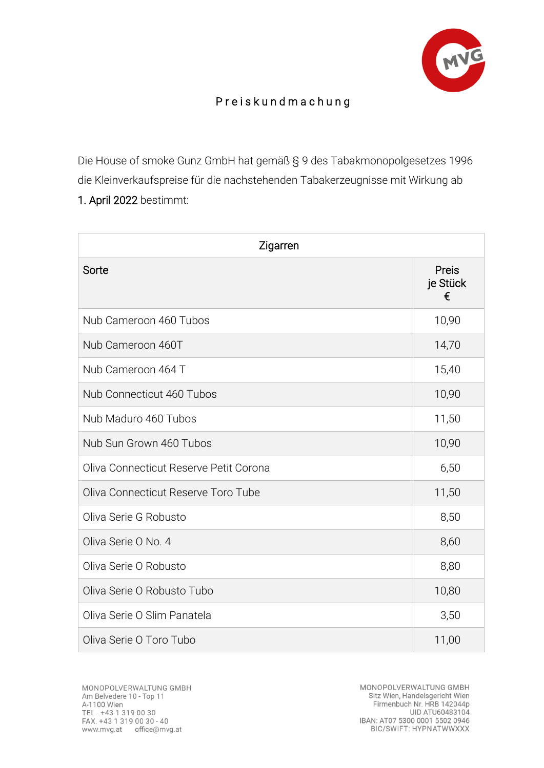

## P r e i s k u n d m a c h u n g

Die House of smoke Gunz GmbH hat gemäß § 9 des Tabakmonopolgesetzes 1996 die Kleinverkaufspreise für die nachstehenden Tabakerzeugnisse mit Wirkung ab 1. April 2022 bestimmt:

| Zigarren                               |                        |  |
|----------------------------------------|------------------------|--|
| Sorte                                  | Preis<br>je Stück<br>€ |  |
| Nub Cameroon 460 Tubos                 | 10,90                  |  |
| Nub Cameroon 460T                      | 14,70                  |  |
| Nub Cameroon 464 T                     | 15,40                  |  |
| Nub Connecticut 460 Tubos              | 10,90                  |  |
| Nub Maduro 460 Tubos                   | 11,50                  |  |
| Nub Sun Grown 460 Tubos                | 10,90                  |  |
| Oliva Connecticut Reserve Petit Corona | 6,50                   |  |
| Oliva Connecticut Reserve Toro Tube    | 11,50                  |  |
| Oliva Serie G Robusto                  | 8,50                   |  |
| Oliva Serie O No. 4                    | 8,60                   |  |
| Oliva Serie O Robusto                  | 8,80                   |  |
| Oliva Serie O Robusto Tubo             | 10,80                  |  |
| Oliva Serie O Slim Panatela            | 3,50                   |  |
| Oliva Serie O Toro Tubo                | 11,00                  |  |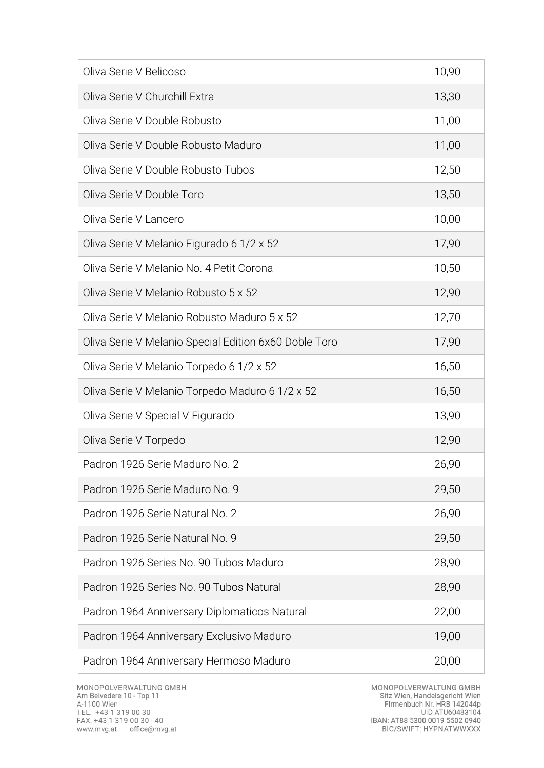| Oliva Serie V Belicoso                                | 10,90 |
|-------------------------------------------------------|-------|
| Oliva Serie V Churchill Extra                         | 13,30 |
| Oliva Serie V Double Robusto                          | 11,00 |
| Oliva Serie V Double Robusto Maduro                   | 11,00 |
| Oliva Serie V Double Robusto Tubos                    | 12,50 |
| Oliva Serie V Double Toro                             | 13,50 |
| Oliva Serie V Lancero                                 | 10,00 |
| Oliva Serie V Melanio Figurado 6 1/2 x 52             | 17,90 |
| Oliva Serie V Melanio No. 4 Petit Corona              | 10,50 |
| Oliva Serie V Melanio Robusto 5 x 52                  | 12,90 |
| Oliva Serie V Melanio Robusto Maduro 5 x 52           | 12,70 |
| Oliva Serie V Melanio Special Edition 6x60 Doble Toro | 17,90 |
| Oliva Serie V Melanio Torpedo 6 1/2 x 52              | 16,50 |
| Oliva Serie V Melanio Torpedo Maduro 6 1/2 x 52       | 16,50 |
| Oliva Serie V Special V Figurado                      | 13,90 |
| Oliva Serie V Torpedo                                 | 12,90 |
| Padron 1926 Serie Maduro No. 2                        | 26,90 |
| Padron 1926 Serie Maduro No. 9                        | 29,50 |
| Padron 1926 Serie Natural No. 2                       | 26,90 |
| Padron 1926 Serie Natural No. 9                       | 29,50 |
| Padron 1926 Series No. 90 Tubos Maduro                | 28,90 |
| Padron 1926 Series No. 90 Tubos Natural               | 28,90 |
| Padron 1964 Anniversary Diplomaticos Natural          | 22,00 |
| Padron 1964 Anniversary Exclusivo Maduro              | 19,00 |
| Padron 1964 Anniversary Hermoso Maduro                | 20,00 |

MONOPOLVERWALTUNG GMBH<br>Sitz Wien, Handelsgericht Wien<br>Firmenbuch Nr. HRB 142044p<br>UID ATU60483104<br>IBAN: AT88 5300 0019 5502 0940<br>BIC/SWIFT: HYPNATWWXXX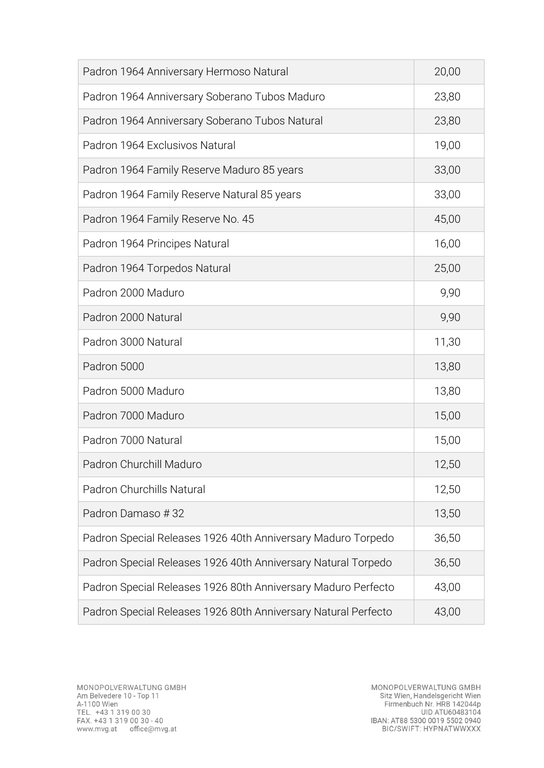| Padron 1964 Anniversary Hermoso Natural                        | 20,00 |
|----------------------------------------------------------------|-------|
| Padron 1964 Anniversary Soberano Tubos Maduro                  | 23,80 |
| Padron 1964 Anniversary Soberano Tubos Natural                 | 23,80 |
| Padron 1964 Exclusivos Natural                                 | 19,00 |
| Padron 1964 Family Reserve Maduro 85 years                     | 33,00 |
| Padron 1964 Family Reserve Natural 85 years                    | 33,00 |
| Padron 1964 Family Reserve No. 45                              | 45,00 |
| Padron 1964 Principes Natural                                  | 16,00 |
| Padron 1964 Torpedos Natural                                   | 25,00 |
| Padron 2000 Maduro                                             | 9,90  |
| Padron 2000 Natural                                            | 9,90  |
| Padron 3000 Natural                                            | 11,30 |
| Padron 5000                                                    | 13,80 |
| Padron 5000 Maduro                                             | 13,80 |
| Padron 7000 Maduro                                             | 15,00 |
| Padron 7000 Natural                                            | 15,00 |
| Padron Churchill Maduro                                        | 12,50 |
| Padron Churchills Natural                                      | 12,50 |
| Padron Damaso #32                                              | 13,50 |
| Padron Special Releases 1926 40th Anniversary Maduro Torpedo   | 36,50 |
| Padron Special Releases 1926 40th Anniversary Natural Torpedo  | 36,50 |
| Padron Special Releases 1926 80th Anniversary Maduro Perfecto  | 43,00 |
| Padron Special Releases 1926 80th Anniversary Natural Perfecto | 43,00 |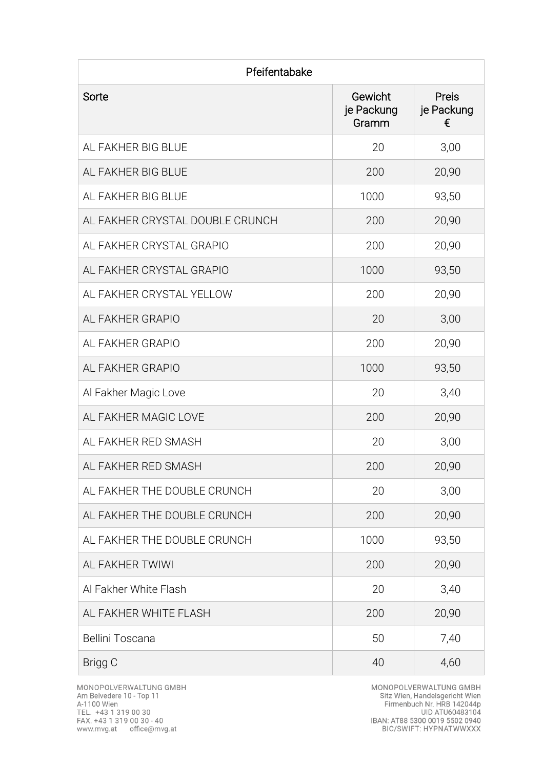| Pfeifentabake                   |                                |                          |  |
|---------------------------------|--------------------------------|--------------------------|--|
| Sorte                           | Gewicht<br>je Packung<br>Gramm | Preis<br>je Packung<br>€ |  |
| AL FAKHER BIG BLUE              | 20                             | 3,00                     |  |
| AL FAKHER BIG BLUE              | 200                            | 20,90                    |  |
| AL FAKHER BIG BLUE              | 1000                           | 93,50                    |  |
| AL FAKHER CRYSTAL DOUBLE CRUNCH | 200                            | 20,90                    |  |
| AL FAKHER CRYSTAL GRAPIO        | 200                            | 20,90                    |  |
| AL FAKHER CRYSTAL GRAPIO        | 1000                           | 93,50                    |  |
| AL FAKHER CRYSTAL YELLOW        | 200                            | 20,90                    |  |
| AL FAKHER GRAPIO                | 20                             | 3,00                     |  |
| AL FAKHER GRAPIO                | 200                            | 20,90                    |  |
| AL FAKHER GRAPIO                | 1000                           | 93,50                    |  |
| Al Fakher Magic Love            | 20                             | 3,40                     |  |
| AL FAKHER MAGIC LOVE            | 200                            | 20,90                    |  |
| AL FAKHER RED SMASH             | 20                             | 3,00                     |  |
| AL FAKHER RED SMASH             | 200                            | 20,90                    |  |
| AL FAKHER THE DOUBLE CRUNCH     | 20                             | 3,00                     |  |
| AL FAKHER THE DOUBLE CRUNCH     | 200                            | 20,90                    |  |
| AL FAKHER THE DOUBLE CRUNCH     | 1000                           | 93,50                    |  |
| AL FAKHER TWIWI                 | 200                            | 20,90                    |  |
| Al Fakher White Flash           | 20                             | 3,40                     |  |
| AL FAKHER WHITE FLASH           | 200                            | 20,90                    |  |
| Bellini Toscana                 | 50                             | 7,40                     |  |
| Brigg C                         | 40                             | 4,60                     |  |

MONOPOLVERWALTUNG GMBH<br>Sitz Wien, Handelsgericht Wien<br>Firmenbuch Nr. HRB 142044p<br>UID ATU60483104<br>IBAN: AT88 5300 0019 5502 0940<br>BIC/SWIFT: HYPNATWWXXX